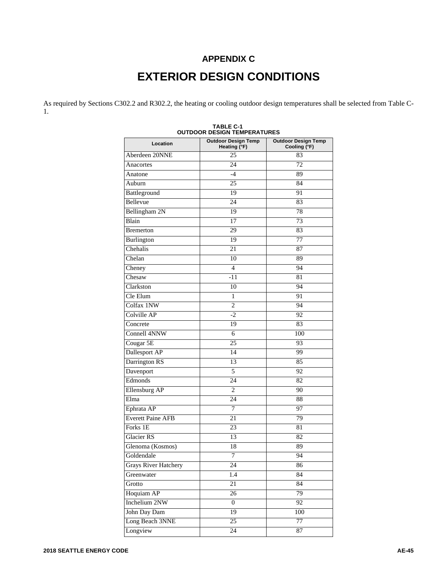## **APPENDIX C EXTERIOR DESIGN CONDITIONS**

As required by Sections C302.2 and R302.2, the heating or cooling outdoor design temperatures shall be selected from Table C-1.

| Location                    | <b>Outdoor Design Temp</b><br>Heating (°F) | <b>Outdoor Design Temp</b><br>Cooling (°F) |
|-----------------------------|--------------------------------------------|--------------------------------------------|
| Aberdeen 20NNE              | $\overline{25}$                            | 83                                         |
| Anacortes                   | 24                                         | 72                                         |
| Anatone                     | $-4$                                       | 89                                         |
| Auburn                      | 25                                         | 84                                         |
| Battleground                | 19                                         | 91                                         |
| Bellevue                    | 24                                         | 83                                         |
| Bellingham 2N               | 19                                         | $\overline{78}$                            |
| Blain                       | 17                                         | 73                                         |
| <b>B</b> remerton           | 29                                         | 83                                         |
| Burlington                  | 19                                         | 77                                         |
| Chehalis                    | 21                                         | 87                                         |
| Chelan                      | 10                                         | 89                                         |
| Cheney                      | $\overline{4}$                             | 94                                         |
| Chesaw                      | $-11$                                      | 81                                         |
| Clarkston                   | 10                                         | 94                                         |
| Cle Elum                    | 1                                          | 91                                         |
| Colfax 1NW                  | $\overline{2}$                             | 94                                         |
| Colville AP                 | $-2$                                       | 92                                         |
| Concrete                    | 19                                         | 83                                         |
| <b>Connell 4NNW</b>         | 6                                          | 100                                        |
| Cougar 5E                   | 25                                         | 93                                         |
| Dallesport AP               | 14                                         | 99                                         |
| Darrington RS               | 13                                         | 85                                         |
| Davenport                   | 5                                          | 92                                         |
| Edmonds                     | $\overline{24}$                            | 82                                         |
| <b>Ellensburg AP</b>        | $\overline{c}$                             | 90                                         |
| Elma                        | 24                                         | 88                                         |
| Ephrata AP                  | 7                                          | 97                                         |
| <b>Everett Paine AFB</b>    | 21                                         | 79                                         |
| Forks 1E                    | 23                                         | 81                                         |
| <b>Glacier RS</b>           | 13                                         | 82                                         |
| Glenoma (Kosmos)            | 18                                         | 89                                         |
| Goldendale                  | 7                                          | 94                                         |
| <b>Grays River Hatchery</b> | 24                                         | 86                                         |
| Greenwater                  | 1.4                                        | 84                                         |
| Grotto                      | 21                                         | 84                                         |
| Hoquiam AP                  | $\overline{26}$                            | 79                                         |
| Inchelium 2NW               | $\overline{0}$                             | $\overline{92}$                            |
| John Day Dam                | 19                                         | 100                                        |
| Long Beach 3NNE             | $\overline{25}$                            | 77                                         |
| Longview                    | 24                                         | 87                                         |

| <b>TABLE C-1</b>                   |
|------------------------------------|
| <b>OUTDOOR DESIGN TEMPERATURES</b> |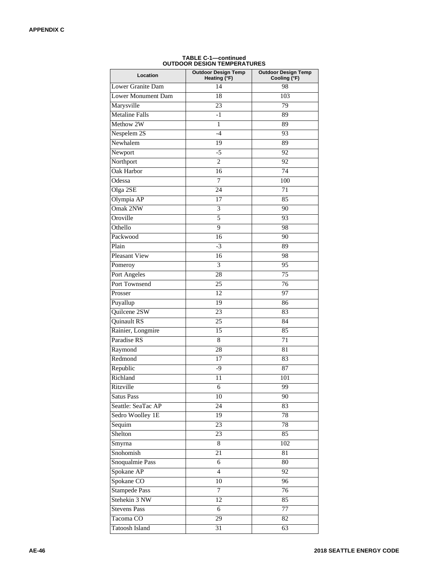| Location              | <b>Outdoor Design Temp</b><br>Heating (°F) | <b>Outdoor Design Temp</b> |  |
|-----------------------|--------------------------------------------|----------------------------|--|
| Lower Granite Dam     | 14                                         | Cooling (°F)<br>98         |  |
| Lower Monument Dam    | 18                                         | 103                        |  |
| Marysville            | 23                                         | 79                         |  |
| <b>Metaline Falls</b> | $-1$                                       | 89                         |  |
| Methow 2W             | $\mathbf{1}$                               | 89                         |  |
| Nespelem 2S           | $-4$                                       | 93                         |  |
| Newhalem              | 19                                         | 89                         |  |
|                       | $-5$                                       | 92                         |  |
| Newport<br>Northport  | $\overline{2}$                             | 92                         |  |
| <b>Oak Harbor</b>     | 16                                         | $\overline{74}$            |  |
| Odessa                | $\overline{7}$                             | 100                        |  |
| Olga 2SE              | 24                                         | 71                         |  |
| Olympia AP            | 17                                         | 85                         |  |
| Omak 2NW              |                                            |                            |  |
| Oroville              | 3<br>5                                     | 90<br>93                   |  |
| Othello               | 9                                          |                            |  |
|                       |                                            | 98                         |  |
| Packwood              | 16                                         | 90                         |  |
| Plain                 | $-3$                                       | 89                         |  |
| <b>Pleasant View</b>  | 16                                         | 98                         |  |
| Pomeroy               | 3                                          | 95                         |  |
| Port Angeles          | 28                                         | 75                         |  |
| Port Townsend         | 25                                         | 76                         |  |
| Prosser               | $\overline{12}$                            | 97                         |  |
| Puyallup              | 19                                         | 86                         |  |
| Quilcene 2SW          | 23                                         | 83                         |  |
| Quinault RS           | 25                                         | 84                         |  |
| Rainier, Longmire     | 15                                         | 85                         |  |
| Paradise RS           | 8                                          | 71                         |  |
| Raymond               | 28                                         | 81                         |  |
| Redmond               | 17                                         | 83                         |  |
| Republic              | $-9$                                       | 87                         |  |
| Richland              | 11                                         | 101                        |  |
| Ritzville             | 6                                          | 99                         |  |
| <b>Satus Pass</b>     | 10                                         | 90                         |  |
| Seattle: SeaTac AP    | $\overline{24}$                            | 83                         |  |
| Sedro Woolley 1E      | 19                                         | 78                         |  |
| Sequim                | 23                                         | 78                         |  |
| Shelton               | 23                                         | 85                         |  |
| Smyrna                | 8                                          | 102                        |  |
| Snohomish             | $\overline{21}$                            | 81                         |  |
| Snoqualmie Pass       | 6                                          | 80                         |  |
| Spokane AP            | $\overline{4}$                             | 92                         |  |
| Spokane CO            | 10                                         | 96                         |  |
| <b>Stampede Pass</b>  | $\tau$                                     | 76                         |  |
| Stehekin 3 NW         | 12                                         | 85                         |  |
| <b>Stevens Pass</b>   | 6                                          | 77                         |  |
| Tacoma CO             | $\overline{29}$                            | 82                         |  |
| <b>Tatoosh Island</b> | $\overline{31}$                            | 63                         |  |

## **TABLE C-1—continued OUTDOOR DESIGN TEMPERATURES**